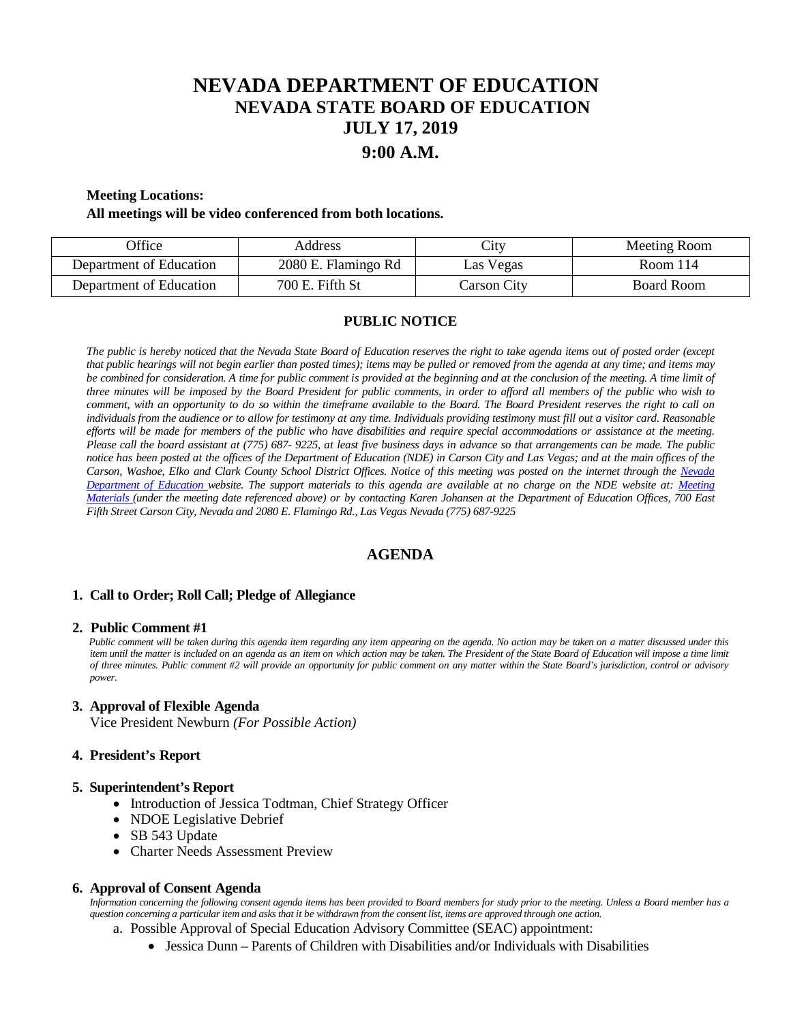# **NEVADA DEPARTMENT OF EDUCATION NEVADA STATE BOARD OF EDUCATION JULY 17, 2019 9:00 A.M.**

## **Meeting Locations:**

#### **All meetings will be video conferenced from both locations.**

| <b>Office</b>           | Address             | Li <sub>IV</sub> | Meeting Room |
|-------------------------|---------------------|------------------|--------------|
| Department of Education | 2080 E. Flamingo Rd | Las Vegas        | Room $114$   |
| Department of Education | 700 E. Fifth St     | Carson City      | Board Room   |

## **PUBLIC NOTICE**

*The public is hereby noticed that the Nevada State Board of Education reserves the right to take agenda items out of posted order (except that public hearings will not begin earlier than posted times); items may be pulled or removed from the agenda at any time; and items may be combined for consideration. A time for public comment is provided at the beginning and at the conclusion of the meeting. A time limit of three minutes will be imposed by the Board President for public comments, in order to afford all members of the public who wish to comment, with an opportunity to do so within the timeframe available to the Board. The Board President reserves the right to call on individuals from the audience or to allow for testimony at any time. Individuals providing testimony must fill out a visitor card. Reasonable efforts will be made for members of the public who have disabilities and require special accommodations or assistance at the meeting. Please call the board assistant at (775) 687- 9225, at least five business days in advance so that arrangements can be made. The public notice has been posted at the offices of the Department of Education (NDE) in Carson City and Las Vegas; and at the main offices of the Carson, Washoe, Elko and Clark County School District Offices. Notice of this meeting was posted on the internet through the Nevada Department of Education website. The support materials to this agenda are available at no charge on the NDE website at: [Meeting](http://www.doe.nv.gov/Boards_Commissions_Councils/State_Board_of_Education/MeetingMaterials/)  [Materials \(](http://www.doe.nv.gov/Boards_Commissions_Councils/State_Board_of_Education/MeetingMaterials/)under the meeting date referenced above) or by contacting Karen Johansen at the Department of Education Offices, 700 East Fifth Street Carson City, Nevada and 2080 E. Flamingo Rd., Las Vegas Nevada (775) 687-9225*

## **AGENDA**

#### **1. Call to Order; Roll Call; Pledge of Allegiance**

#### **2. Public Comment #1**

 *Public comment will be taken during this agenda item regarding any item appearing on the agenda. No action may be taken on a matter discussed under this*  item until the matter is included on an agenda as an item on which action may be taken. The President of the State Board of Education will impose a time limit *of three minutes. Public comment #2 will provide an opportunity for public comment on any matter within the State Board's jurisdiction, control or advisory power.*

#### **3. Approval of Flexible Agenda**

Vice President Newburn *(For Possible Action)*

#### **4. President's Report**

#### **5. Superintendent's Report**

- Introduction of Jessica Todtman, Chief Strategy Officer
- NDOE Legislative Debrief
- SB 543 Update
- Charter Needs Assessment Preview

#### **6. Approval of Consent Agenda**

 *Information concerning the following consent agenda items has been provided to Board members for study prior to the meeting. Unless a Board member has a question concerning a particular item and asks that it be withdrawn from the consent list, items are approved through one action.*

- a. Possible Approval of Special Education Advisory Committee (SEAC) appointment:
	- Jessica Dunn Parents of Children with Disabilities and/or Individuals with Disabilities